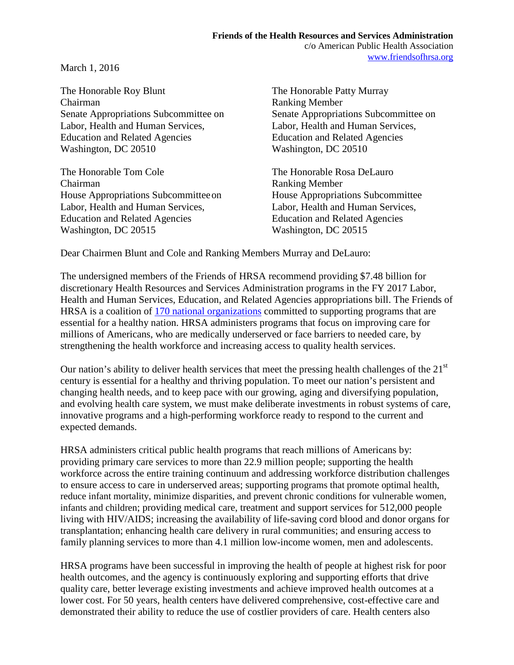March 1, 2016

The Honorable Roy Blunt The Honorable Patty Murray Chairman Ranking Member Labor, Health and Human Services, Labor, Health and Human Services, Education and Related Agencies Education and Related Agencies Washington, DC 20510 Washington, DC 20510

The Honorable Tom Cole The Honorable Rosa DeLauro Chairman Ranking Member House Appropriations Subcommitteeon House Appropriations Subcommittee Labor, Health and Human Services, Labor, Health and Human Services, Education and Related Agencies Education and Related Agencies Washington, DC 20515 Washington, DC 20515

Senate Appropriations Subcommittee on Senate Appropriations Subcommittee on

Dear Chairmen Blunt and Cole and Ranking Members Murray and DeLauro:

The undersigned members of the Friends of HRSA recommend providing \$7.48 billion for discretionary Health Resources and Services Administration programs in the FY 2017 Labor, Health and Human Services, Education, and Related Agencies appropriations bill. The Friends of HRSA is a coalition of [170 national organizations](http://www.friendsofhrsa.org/members.htm) committed to supporting programs that are essential for a healthy nation. HRSA administers programs that focus on improving care for millions of Americans, who are medically underserved or face barriers to needed care, by strengthening the health workforce and increasing access to quality health services.

Our nation's ability to deliver health services that meet the pressing health challenges of the  $21<sup>st</sup>$ century is essential for a healthy and thriving population. To meet our nation's persistent and changing health needs, and to keep pace with our growing, aging and diversifying population, and evolving health care system, we must make deliberate investments in robust systems of care, innovative programs and a high-performing workforce ready to respond to the current and expected demands.

HRSA administers critical public health programs that reach millions of Americans by: providing primary care services to more than 22.9 million people; supporting the health workforce across the entire training continuum and addressing workforce distribution challenges to ensure access to care in underserved areas; supporting programs that promote optimal health, reduce infant mortality, minimize disparities, and prevent chronic conditions for vulnerable women, infants and children; providing medical care, treatment and support services for 512,000 people living with HIV/AIDS; increasing the availability of life-saving cord blood and donor organs for transplantation; enhancing health care delivery in rural communities; and ensuring access to family planning services to more than 4.1 million low-income women, men and adolescents.

HRSA programs have been successful in improving the health of people at highest risk for poor health outcomes, and the agency is continuously exploring and supporting efforts that drive quality care, better leverage existing investments and achieve improved health outcomes at a lower cost. For 50 years, health centers have delivered comprehensive, cost-effective care and demonstrated their ability to reduce the use of costlier providers of care. Health centers also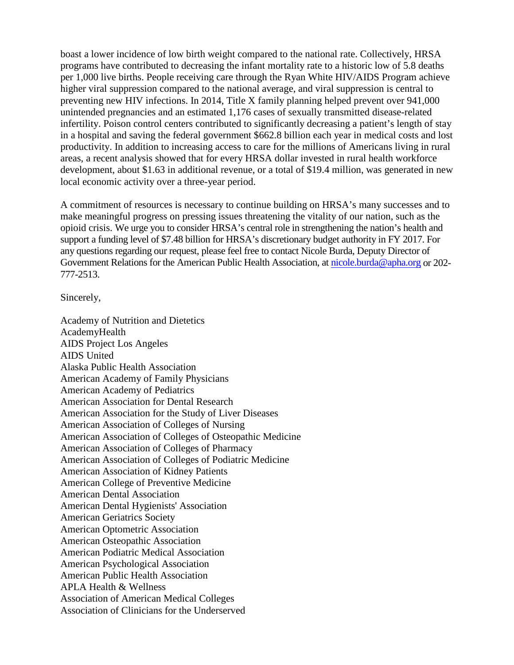boast a lower incidence of low birth weight compared to the national rate. Collectively, HRSA programs have contributed to decreasing the infant mortality rate to a historic low of 5.8 deaths per 1,000 live births. People receiving care through the Ryan White HIV/AIDS Program achieve higher viral suppression compared to the national average, and viral suppression is central to preventing new HIV infections. In 2014, Title X family planning helped prevent over 941,000 unintended pregnancies and an estimated 1,176 cases of sexually transmitted disease-related infertility. Poison control centers contributed to significantly decreasing a patient's length of stay in a hospital and saving the federal government \$662.8 billion each year in medical costs and lost productivity. In addition to increasing access to care for the millions of Americans living in rural areas, a recent analysis showed that for every HRSA dollar invested in rural health workforce development, about \$1.63 in additional revenue, or a total of \$19.4 million, was generated in new local economic activity over a three-year period.

A commitment of resources is necessary to continue building on HRSA's many successes and to make meaningful progress on pressing issues threatening the vitality of our nation, such as the opioid crisis. We urge you to consider HRSA's central role in strengthening the nation's health and support a funding level of \$7.48 billion for HRSA's discretionary budget authority in FY 2017. For any questions regarding our request, please feel free to contact Nicole Burda, Deputy Director of Government Relations for the American Public Health Association, at [nicole.burda@apha.org](mailto:nicole.burda@apha.org) or 202-777-2513.

Sincerely,

Academy of Nutrition and Dietetics AcademyHealth AIDS Project Los Angeles AIDS United Alaska Public Health Association American Academy of Family Physicians American Academy of Pediatrics American Association for Dental Research American Association for the Study of Liver Diseases American Association of Colleges of Nursing American Association of Colleges of Osteopathic Medicine American Association of Colleges of Pharmacy American Association of Colleges of Podiatric Medicine American Association of Kidney Patients American College of Preventive Medicine American Dental Association American Dental Hygienists' Association American Geriatrics Society American Optometric Association American Osteopathic Association American Podiatric Medical Association American Psychological Association American Public Health Association APLA Health & Wellness Association of American Medical Colleges Association of Clinicians for the Underserved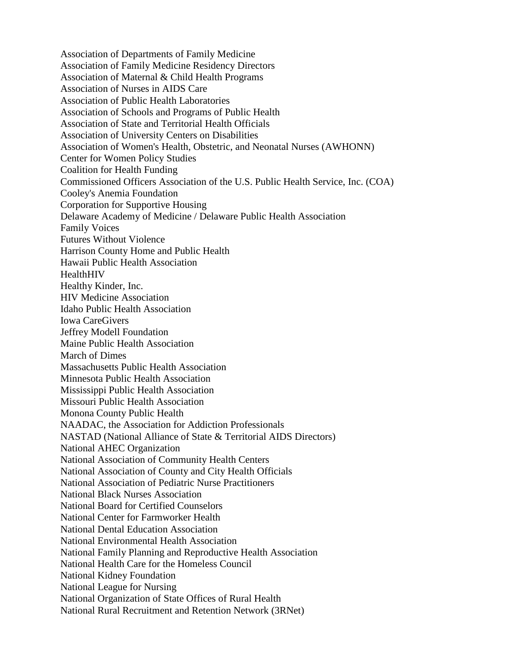Association of Departments of Family Medicine Association of Family Medicine Residency Directors Association of Maternal & Child Health Programs Association of Nurses in AIDS Care Association of Public Health Laboratories Association of Schools and Programs of Public Health Association of State and Territorial Health Officials Association of University Centers on Disabilities Association of Women's Health, Obstetric, and Neonatal Nurses (AWHONN) Center for Women Policy Studies Coalition for Health Funding Commissioned Officers Association of the U.S. Public Health Service, Inc. (COA) Cooley's Anemia Foundation Corporation for Supportive Housing Delaware Academy of Medicine / Delaware Public Health Association Family Voices Futures Without Violence Harrison County Home and Public Health Hawaii Public Health Association HealthHIV Healthy Kinder, Inc. HIV Medicine Association Idaho Public Health Association Iowa CareGivers Jeffrey Modell Foundation Maine Public Health Association March of Dimes Massachusetts Public Health Association Minnesota Public Health Association Mississippi Public Health Association Missouri Public Health Association Monona County Public Health NAADAC, the Association for Addiction Professionals NASTAD (National Alliance of State & Territorial AIDS Directors) National AHEC Organization National Association of Community Health Centers National Association of County and City Health Officials National Association of Pediatric Nurse Practitioners National Black Nurses Association National Board for Certified Counselors National Center for Farmworker Health National Dental Education Association National Environmental Health Association National Family Planning and Reproductive Health Association National Health Care for the Homeless Council National Kidney Foundation National League for Nursing National Organization of State Offices of Rural Health National Rural Recruitment and Retention Network (3RNet)